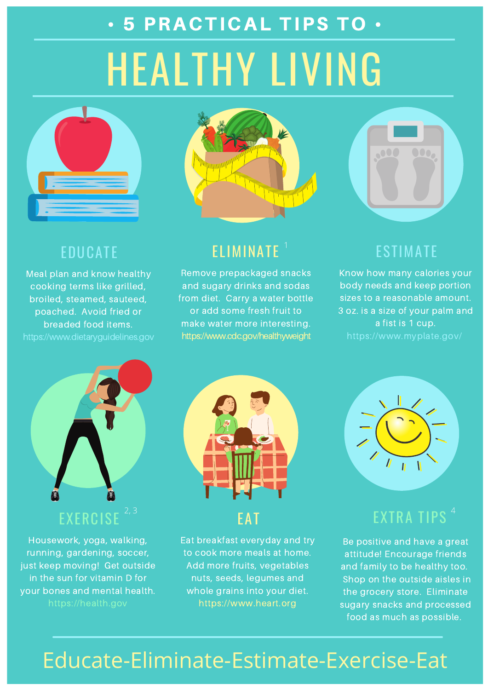

Housework, yoga, walking, running, gardening, soccer, just keep moving! Get outside in the sun for vitamin D for your bones and mental health. https://health.gov

## ELIMINATE

Remove prepackaged snacks and sugary drinks and sodas from diet. Carry a water bottle or add some fresh fruit to make water more interesting. https://www.cdc.gov/healthyweight

### ESTIMATE

Know how many calories your body needs and keep portion sizes to a reasonable amount. 3 oz. is a size of your palm and a fist is 1 cup. https://www.myplate.gov/

### EXTRA TIPS 2,3 and  $\sim$  4  $\sim$  4  $\sim$  4  $\sim$  4  $\sim$  4  $\sim$  4  $\sim$  4  $\sim$  4  $\sim$  4  $\sim$  4  $\sim$  4  $\sim$  4  $\sim$  4  $\sim$  4  $\sim$

### EDUCATE

Meal plan and know healthy cooking terms like grilled, broiled, steamed, sauteed, poached. Avoid fried or breaded food items. https://www.dietaryguidelines.gov

### EAT

Eat breakfast everyday and try to cook more meals at home. Add more fruits, vegetables nuts, seeds, legumes and whole grains into your diet. https://www.heart.org



# HEALTHY LIVING • 5 PRACTICAL TIPS TO •





Be positive and have a great attitude! Encourage friends and family to be healthy too. Shop on the outside aisles in the grocery store. Eliminate sugary snacks and processed food as much as possible.

# Educate-Eliminate-Estimate-Exercise-Eat